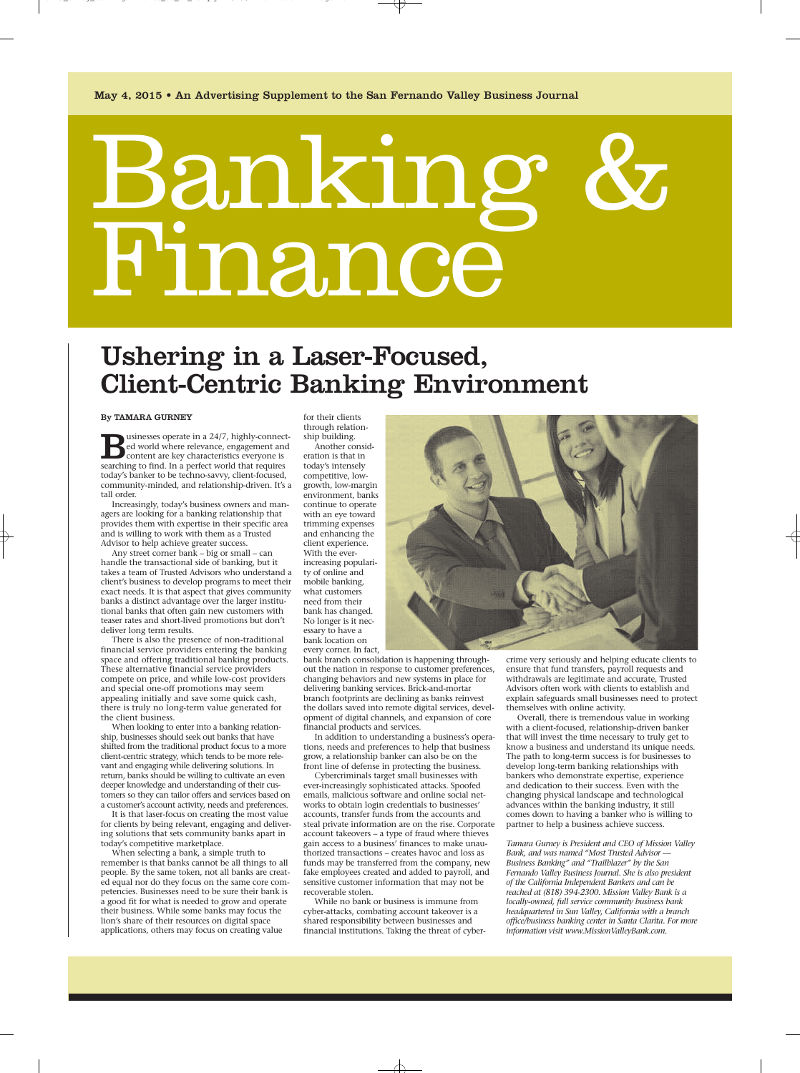# Bankin Finance

## Ushering in a Laser-Focused, Client-Centric Banking Environment

#### By TAMARA GURNEY

Usinesses operate in a 24/7, highly-connected world where relevance, engagement and content are key characteristics everyone is searching to find. In a perfect world that requires ed world where relevance, engagement and content are key characteristics everyone is searching to find. In a perfect world that requires today's banker to be techno-savvy, client-focused, community-minded, and relationship-driven. It's a tall order.

Increasingly, today's business owners and managers are looking for a banking relationship that provides them with expertise in their specific area and is willing to work with them as a Trusted Advisor to help achieve greater success.

Any street corner bank – big or small – can handle the transactional side of banking, but it takes a team of Trusted Advisors who understand a client's business to develop programs to meet their exact needs. It is that aspect that gives community banks a distinct advantage over the larger institutional banks that often gain new customers with teaser rates and short-lived promotions but don't deliver long term results.

There is also the presence of non-traditional financial service providers entering the banking space and offering traditional banking products. These alternative financial service providers compete on price, and while low-cost providers and special one-off promotions may seem appealing initially and save some quick cash, there is truly no long-term value generated for the client business.

When looking to enter into a banking relationship, businesses should seek out banks that have shifted from the traditional product focus to a more client-centric strategy, which tends to be more relevant and engaging while delivering solutions. In return, banks should be willing to cultivate an even deeper knowledge and understanding of their customers so they can tailor offers and services based on a customer's account activity, needs and preferences.

It is that laser-focus on creating the most value for clients by being relevant, engaging and delivering solutions that sets community banks apart in today's competitive marketplace.

When selecting a bank, a simple truth to remember is that banks cannot be all things to all people. By the same token, not all banks are created equal nor do they focus on the same core competencies. Businesses need to be sure their bank is a good fit for what is needed to grow and operate their business. While some banks may focus the lion's share of their resources on digital space applications, others may focus on creating value

for their clients through relationship building.

Another consideration is that in today's intensely competitive, lowgrowth, low-margin environment, banks continue to operate with an eye toward trimming expenses and enhancing the client experience. With the everincreasing popularity of online and mobile banking, what customers need from their bank has changed. No longer is it necessary to have a bank location on every corner. In fact,

bank branch consolidation is happening throughout the nation in response to customer preferences, changing behaviors and new systems in place for delivering banking services. Brick-and-mortar branch footprints are declining as banks reinvest the dollars saved into remote digital services, development of digital channels, and expansion of core financial products and services.

In addition to understanding a business's operations, needs and preferences to help that business grow, a relationship banker can also be on the front line of defense in protecting the business.

Cybercriminals target small businesses with ever-increasingly sophisticated attacks. Spoofed emails, malicious software and online social networks to obtain login credentials to businesses' accounts, transfer funds from the accounts and steal private information are on the rise. Corporate account takeovers – a type of fraud where thieves gain access to a business' finances to make unauthorized transactions – creates havoc and loss as funds may be transferred from the company, new fake employees created and added to payroll, and sensitive customer information that may not be recoverable stolen.

While no bank or business is immune from cyber-attacks, combating account takeover is a shared responsibility between businesses and financial institutions. Taking the threat of cyber-



crime very seriously and helping educate clients to ensure that fund transfers, payroll requests and withdrawals are legitimate and accurate, Trusted Advisors often work with clients to establish and explain safeguards small businesses need to protect themselves with online activity.

Overall, there is tremendous value in working with a client-focused, relationship-driven banker that will invest the time necessary to truly get to know a business and understand its unique needs. The path to long-term success is for businesses to develop long-term banking relationships with bankers who demonstrate expertise, experience and dedication to their success. Even with the changing physical landscape and technological advances within the banking industry, it still comes down to having a banker who is willing to partner to help a business achieve success.

*Tamara Gurney is President and CEO of Mission Valley Bank, and was named "Most Trusted Advisor — Business Banking" and "Trailblazer" by the San Fernando Valley Business Journal. She is also president of the California Independent Bankers and can be reached at (818) 394-2300. Mission Valley Bank is a locally-owned, full service community business bank headquartered in Sun Valley, California with a branch office/business banking center in Santa Clarita. For more information visit www.MissionValleyBank.com.*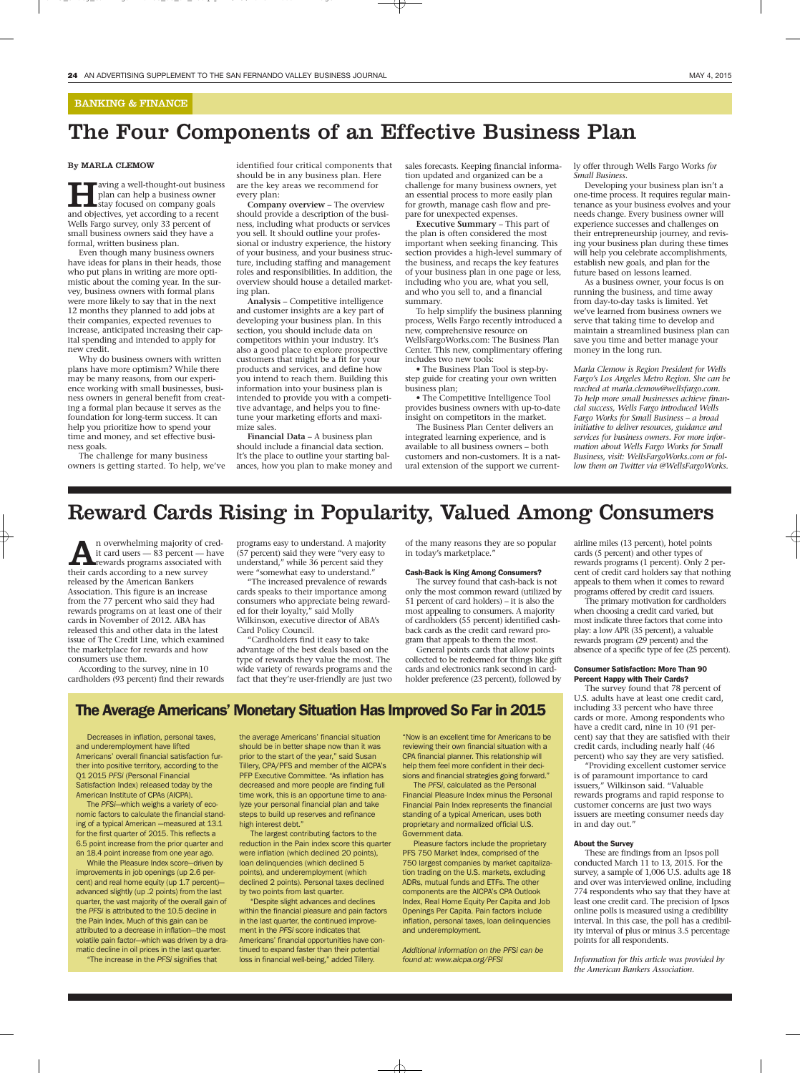#### BANKING & FINANCE

## The Four Components of an Effective Business Plan

#### By MARLA CLEMOW

**Having a well-thought-out business**<br>plan can help a business owner<br>and objectives, yet according to a recent plan can help a business owner stay focused on company goals Wells Fargo survey, only 33 percent of small business owners said they have a formal, written business plan.

Even though many business owners have ideas for plans in their heads, those who put plans in writing are more optimistic about the coming year. In the survey, business owners with formal plans were more likely to say that in the next 12 months they planned to add jobs at their companies, expected revenues to increase, anticipated increasing their capital spending and intended to apply for new credit.

Why do business owners with written plans have more optimism? While there may be many reasons, from our experience working with small businesses, business owners in general benefit from creating a formal plan because it serves as the foundation for long-term success. It can help you prioritize how to spend your time and money, and set effective business goals.

The challenge for many business owners is getting started. To help, we've identified four critical components that should be in any business plan. Here are the key areas we recommend for every plan:

**Company overview** – The overview should provide a description of the business, including what products or services you sell. It should outline your professional or industry experience, the history of your business, and your business structure, including staffing and management roles and responsibilities. In addition, the overview should house a detailed marketing plan.

**Analysis** – Competitive intelligence and customer insights are a key part of developing your business plan. In this section, you should include data on competitors within your industry. It's also a good place to explore prospective customers that might be a fit for your products and services, and define how you intend to reach them. Building this information into your business plan is intended to provide you with a competitive advantage, and helps you to finetune your marketing efforts and maximize sales.

**Financial Data** – A business plan should include a financial data section. It's the place to outline your starting balances, how you plan to make money and sales forecasts. Keeping financial information updated and organized can be a challenge for many business owners, yet an essential process to more easily plan for growth, manage cash flow and prepare for unexpected expenses.

**Executive Summary** – This part of the plan is often considered the most important when seeking financing. This section provides a high-level summary of the business, and recaps the key features of your business plan in one page or less, including who you are, what you sell, and who you sell to, and a financial summary.

To help simplify the business planning process, Wells Fargo recently introduced a new, comprehensive resource on WellsFargoWorks.com: The Business Plan Center. This new, complimentary offering includes two new tools:

• The Business Plan Tool is step-bystep guide for creating your own written business plan;

• The Competitive Intelligence Tool provides business owners with up-to-date insight on competitors in the market.

The Business Plan Center delivers an integrated learning experience, and is available to all business owners – both customers and non-customers. It is a natural extension of the support we currently offer through Wells Fargo Works *for Small Business*.

Developing your business plan isn't a one-time process. It requires regular maintenance as your business evolves and your needs change. Every business owner will experience successes and challenges on their entrepreneurship journey, and revising your business plan during these times will help you celebrate accomplishments, establish new goals, and plan for the future based on lessons learned.

As a business owner, your focus is on running the business, and time away from day-to-day tasks is limited. Yet we've learned from business owners we serve that taking time to develop and maintain a streamlined business plan can save you time and better manage your money in the long run.

*Marla Clemow is Region President for Wells Fargo's Los Angeles Metro Region. She can be reached at marla.clemow@wellsfargo.com. To help more small businesses achieve financial success, Wells Fargo introduced Wells Fargo Works for Small Business – a broad initiative to deliver resources, guidance and services for business owners. For more information about Wells Fargo Works for Small Business, visit: WellsFargoWorks.com or follow them on Twitter via @WellsFargoWorks.*

## Reward Cards Rising in Popularity, Valued Among Consumers

**A** n overwhelming majority of cred-<br>
it card users — 83 percent — have<br>
rewards programs associated with<br>
their cards according to a new survey it card users — 83 percent — have their cards according to a new survey released by the American Bankers Association. This figure is an increase from the 77 percent who said they had rewards programs on at least one of their cards in November of 2012. ABA has released this and other data in the latest issue of The Credit Line, which examined the marketplace for rewards and how consumers use them.

According to the survey, nine in 10 cardholders (93 percent) find their rewards programs easy to understand. A majority (57 percent) said they were "very easy to understand," while 36 percent said they were "somewhat easy to understand."

"The increased prevalence of rewards cards speaks to their importance among consumers who appreciate being rewarded for their loyalty," said Molly Wilkinson, executive director of ABA's Card Policy Council.

"Cardholders find it easy to take advantage of the best deals based on the type of rewards they value the most. The wide variety of rewards programs and the fact that they're user-friendly are just two of the many reasons they are so popular in today's marketplace."

#### Cash-Back is King Among Consumers?

The survey found that cash-back is not only the most common reward (utilized by 51 percent of card holders) – it is also the most appealing to consumers. A majority of cardholders (55 percent) identified cashback cards as the credit card reward program that appeals to them the most.

General points cards that allow points collected to be redeemed for things like gift cards and electronics rank second in cardholder preference (23 percent), followed by airline miles (13 percent), hotel points cards (5 percent) and other types of rewards programs (1 percent). Only 2 percent of credit card holders say that nothing appeals to them when it comes to reward programs offered by credit card issuers.

The primary motivation for cardholders when choosing a credit card varied, but most indicate three factors that come into play: a low APR (35 percent), a valuable rewards program (29 percent) and the absence of a specific type of fee (25 percent).

#### Consumer Satisfaction: More Than 90 Percent Happy with Their Cards?

The survey found that 78 percent of U.S. adults have at least one credit card, including 33 percent who have three cards or more. Among respondents who have a credit card, nine in 10 (91 percent) say that they are satisfied with their credit cards, including nearly half (46 percent) who say they are very satisfied.

"Providing excellent customer service is of paramount importance to card issuers," Wilkinson said. "Valuable rewards programs and rapid response to customer concerns are just two ways issuers are meeting consumer needs day in and day out."

#### About the Survey

These are findings from an Ipsos poll conducted March 11 to 13, 2015. For the survey, a sample of 1,006 U.S. adults age 18 and over was interviewed online, including 774 respondents who say that they have at least one credit card. The precision of Ipsos online polls is measured using a credibility interval. In this case, the poll has a credibility interval of plus or minus 3.5 percentage points for all respondents.

*Information for this article was provided by the American Bankers Association.*

### The Average Americans' Monetary Situation Has Improved So Far in 2015

Decreases in inflation, personal taxes, and underemployment have lifted Americans' overall financial satisfaction further into positive territory, according to the Q1 2015 PFSi (Personal Financial Satisfaction Index) released today by the American Institute of CPAs (AICPA).

The PFSi—which weighs a variety of economic factors to calculate the financial standing of a typical American —measured at 13.1 for the first quarter of 2015. This reflects a 6.5 point increase from the prior quarter and an 18.4 point increase from one year ago.

While the Pleasure Index score—driven by improvements in job openings (up 2.6 percent) and real home equity (up 1.7 percent) advanced slightly (up .2 points) from the last quarter, the vast majority of the overall gain of the PFSi is attributed to the 10.5 decline in the Pain Index. Much of this gain can be attributed to a decrease in inflation—the most volatile pain factor—which was driven by a dramatic decline in oil prices in the last quarter.

"The increase in the PFSi signifies that

the average Americans' financial situation should be in better shape now than it was prior to the start of the year," said Susan Tillery, CPA/PFS and member of the AICPA's PFP Executive Committee. "As inflation has decreased and more people are finding full time work, this is an opportune time to analyze your personal financial plan and take steps to build up reserves and refinance high interest debt."

The largest contributing factors to the reduction in the Pain index score this quarter were inflation (which declined 20 points), loan delinquencies (which declined 5 points), and underemployment (which declined 2 points). Personal taxes declined by two points from last quarter.

"Despite slight advances and declines within the financial pleasure and pain factors in the last quarter, the continued improvement in the PFSi score indicates that Americans' financial opportunities have continued to expand faster than their potential loss in financial well-being," added Tillery.

"Now is an excellent time for Americans to be reviewing their own financial situation with a CPA financial planner. This relationship will help them feel more confident in their decisions and financial strategies going forward."

The PFSi, calculated as the Personal Financial Pleasure Index minus the Personal Financial Pain Index represents the financial standing of a typical American, uses both proprietary and normalized official U.S. Government data.

Pleasure factors include the proprietary PFS 750 Market Index, comprised of the 750 largest companies by market capitalization trading on the U.S. markets, excluding ADRs, mutual funds and ETFs. The other components are the AICPA's CPA Outlook Index, Real Home Equity Per Capita and Job Openings Per Capita. Pain factors include inflation, personal taxes, loan delinquencies and underemployment.

Additional information on the PFSi can be found at: www.aicpa.org/PFSI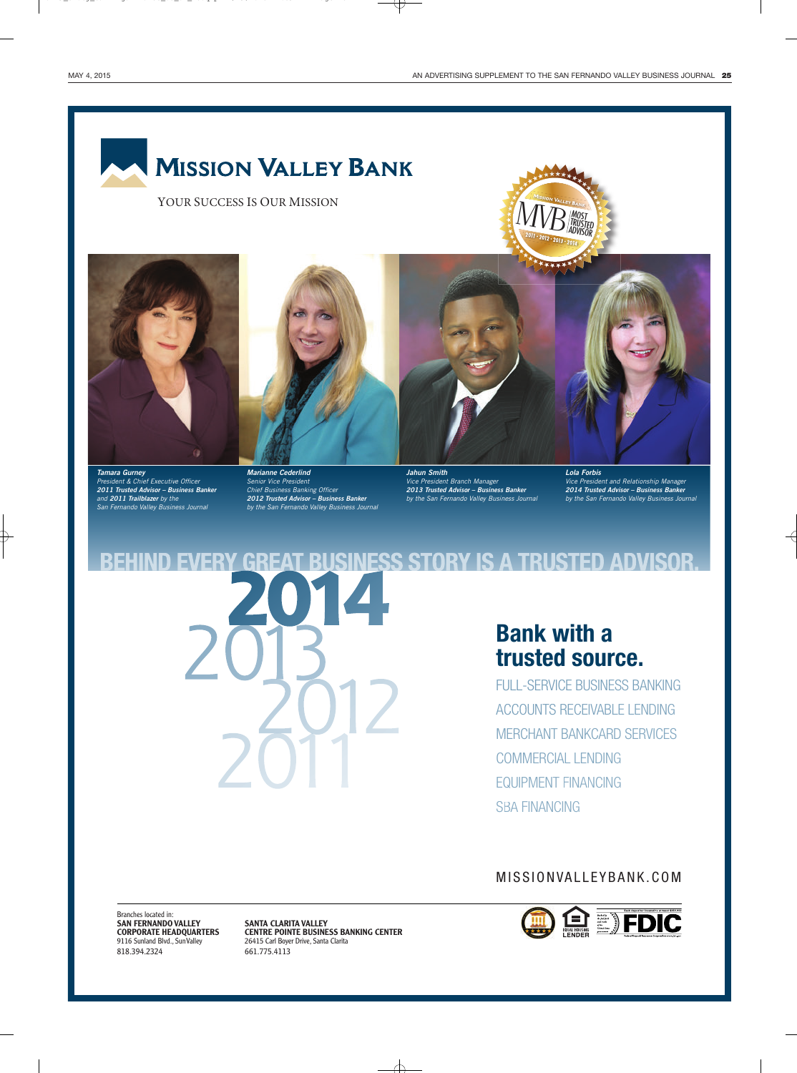$M\!V\!B$  Most

**TRUSTED** ADVISOR

## **MISSION VALLEY BANK**

YOUR SUCCESS IS OUR MISSION



*Tamara Gurney*  President & Chief Executive Officer *2011 Trusted Advisor – Business Banker*  and *2011 Trailblazer* by the San Fernando Valley Business Journal



*Marianne Cederlind*  Senior Vice President Chief Business Banking Officer *2012 Trusted Advisor – Business Banker* by the San Fernando Valley Business Journal



*Jahun Smith*  Vice President Branch Manager *2013 Trusted Advisor – Business Banker*  by the San Fernando Valley Business Journal *Lola Forbis*  Vice President and Relationship Manager *2014 Trusted Advisor – Business Banker* by the San Fernando Valley Business Journal

**ESS STORY IS A TRUSTED ADVISOR Bank with a trusted source.**

FULL-SERVICE BUSINESS BANKING ACCOUNTS RECEIVABLE LENDING MERCHANT BANKCARD SERVICES COMMERCIAL LENDING EQUIPMENT FINANCING SBA FINANCING

MISSIONVALLEYBANK.COM



Branches located in: **SAN FERNANDO VALLEY SANTA CLARITA VALLEY<br>
CORPORATE HEADQUARTERS CENTRE POINTE BUSINE** 818.394.2324 661.775.4113

**CORPORATE HEADQUARTERS CENTRE POINTE BUSINESS BANKING CENTER**<br>9116 Sunland Blvd., Sun Valley 26415 Carl Boyer Drive, Santa Clarita 26415 Carl Boyer Drive, Santa Clarita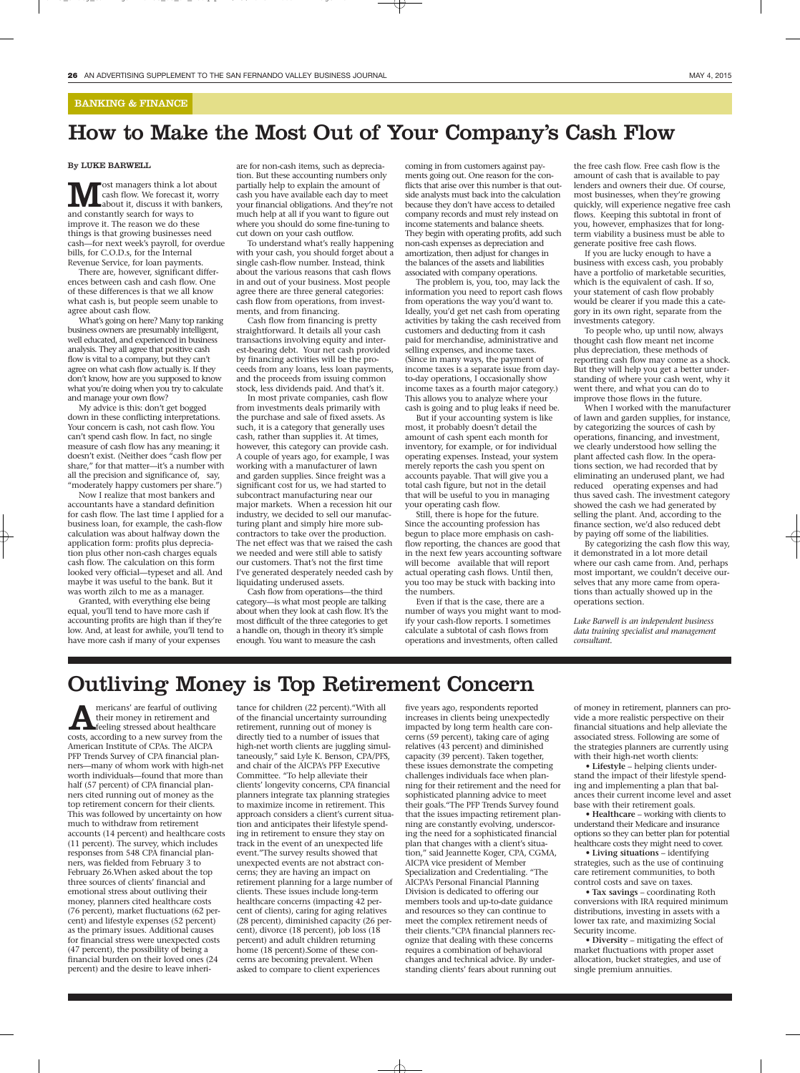#### BANKING & FINANCE

## How to Make the Most Out of Your Company's Cash Flow

#### By LUKE BARWELL

**M** est managers think a lot about<br>about it, discuss it with banker<br>and constantly search for ways to cash flow. We forecast it, worry about it, discuss it with bankers, and constantly search for ways to improve it. The reason we do these things is that growing businesses need cash—for next week's payroll, for overdue bills, for C.O.D.s, for the Internal Revenue Service, for loan payments.

There are, however, significant differences between cash and cash flow. One of these differences is that we all know what cash is, but people seem unable to agree about cash flow.

What's going on here? Many top ranking business owners are presumably intelligent, well educated, and experienced in business analysis. They all agree that positive cash flow is vital to a company, but they can't agree on what cash flow actually is. If they don't know, how are you supposed to know what you're doing when you try to calculate and manage your own flow?

My advice is this: don't get bogged down in these conflicting interpretations. Your concern is cash, not cash flow. You can't spend cash flow. In fact, no single measure of cash flow has any meaning; it doesn't exist. (Neither does "cash flow per share," for that matter—it's a number with all the precision and significance of, say, "moderately happy customers per share.")

Now I realize that most bankers and accountants have a standard definition for cash flow. The last time I applied for a business loan, for example, the cash-flow calculation was about halfway down the application form: profits plus depreciation plus other non-cash charges equals cash flow. The calculation on this form looked very official—typeset and all. And maybe it was useful to the bank. But it was worth zilch to me as a manager.

Granted, with everything else being equal, you'll tend to have more cash if accounting profits are high than if they're low. And, at least for awhile, you'll tend to have more cash if many of your expenses

are for non-cash items, such as depreciation. But these accounting numbers only partially help to explain the amount of cash you have available each day to meet your financial obligations. And they're not much help at all if you want to figure out where you should do some fine-tuning to cut down on your cash outflow.

To understand what's really happening with your cash, you should forget about a single cash-flow number. Instead, think about the various reasons that cash flows in and out of your business. Most people agree there are three general categories: cash flow from operations, from investments, and from financing.

Cash flow from financing is pretty straightforward. It details all your cash transactions involving equity and interest-bearing debt. Your net cash provided by financing activities will be the proceeds from any loans, less loan payments, and the proceeds from issuing common stock, less dividends paid. And that's it.

In most private companies, cash flow from investments deals primarily with the purchase and sale of fixed assets. As such, it is a category that generally uses cash, rather than supplies it. At times, however, this category can provide cash. A couple of years ago, for example, I was working with a manufacturer of lawn and garden supplies. Since freight was a significant cost for us, we had started to subcontract manufacturing near our major markets. When a recession hit our industry, we decided to sell our manufacturing plant and simply hire more subcontractors to take over the production. The net effect was that we raised the cash we needed and were still able to satisfy our customers. That's not the first time I've generated desperately needed cash by liquidating underused assets.

Cash flow from operations—the third category—is what most people are talking about when they look at cash flow. It's the most difficult of the three categories to get a handle on, though in theory it's simple enough. You want to measure the cash

coming in from customers against payments going out. One reason for the conflicts that arise over this number is that outside analysts must back into the calculation because they don't have access to detailed company records and must rely instead on income statements and balance sheets. They begin with operating profits, add such non-cash expenses as depreciation and amortization, then adjust for changes in the balances of the assets and liabilities associated with company operations.

The problem is, you, too, may lack the information you need to report cash flows from operations the way you'd want to. Ideally, you'd get net cash from operating activities by taking the cash received from customers and deducting from it cash paid for merchandise, administrative and selling expenses, and income taxes. (Since in many ways, the payment of income taxes is a separate issue from dayto-day operations, I occasionally show income taxes as a fourth major category.) This allows you to analyze where your cash is going and to plug leaks if need be.

But if your accounting system is like most, it probably doesn't detail the amount of cash spent each month for inventory, for example, or for individual operating expenses. Instead, your system merely reports the cash you spent on accounts payable. That will give you a total cash figure, but not in the detail that will be useful to you in managing your operating cash flow.

Still, there is hope for the future. Since the accounting profession has begun to place more emphasis on cashflow reporting, the chances are good that in the next few years accounting software will become available that will report actual operating cash flows. Until then, you too may be stuck with backing into the numbers.

Even if that is the case, there are a number of ways you might want to modify your cash-flow reports. I sometimes calculate a subtotal of cash flows from operations and investments, often called

the free cash flow. Free cash flow is the amount of cash that is available to pay lenders and owners their due. Of course, most businesses, when they're growing quickly, will experience negative free cash flows. Keeping this subtotal in front of you, however, emphasizes that for longterm viability a business must be able to generate positive free cash flows.

If you are lucky enough to have a business with excess cash, you probably have a portfolio of marketable securities, which is the equivalent of cash. If so, your statement of cash flow probably would be clearer if you made this a category in its own right, separate from the investments category.

To people who, up until now, always thought cash flow meant net income plus depreciation, these methods of reporting cash flow may come as a shock. But they will help you get a better understanding of where your cash went, why it went there, and what you can do to improve those flows in the future.

When I worked with the manufacturer of lawn and garden supplies, for instance, by categorizing the sources of cash by operations, financing, and investment, we clearly understood how selling the plant affected cash flow. In the operations section, we had recorded that by eliminating an underused plant, we had reduced operating expenses and had thus saved cash. The investment category showed the cash we had generated by selling the plant. And, according to the finance section, we'd also reduced debt by paying off some of the liabilities.

By categorizing the cash flow this way, it demonstrated in a lot more detail where our cash came from. And, perhaps most important, we couldn't deceive ourselves that any more came from operations than actually showed up in the operations section.

*Luke Barwell is an independent business data training specialist and management consultant.*

## Outliving Money is Top Retirement Concern

mericans' are fearful of outliving their money in retirement and feeling stressed about healthcare costs, according to a new survey from the American Institute of CPAs. The AICPA PFP Trends Survey of CPA financial planners—many of whom work with high-net worth individuals—found that more than half (57 percent) of CPA financial planners cited running out of money as the top retirement concern for their clients. This was followed by uncertainty on how much to withdraw from retirement accounts (14 percent) and healthcare costs (11 percent). The survey, which includes responses from 548 CPA financial planners, was fielded from February 3 to February 26.When asked about the top three sources of clients' financial and emotional stress about outliving their money, planners cited healthcare costs (76 percent), market fluctuations (62 percent) and lifestyle expenses (52 percent) as the primary issues. Additional causes for financial stress were unexpected costs (47 percent), the possibility of being a financial burden on their loved ones (24 percent) and the desire to leave inheri-

tance for children (22 percent)."With all of the financial uncertainty surrounding retirement, running out of money is directly tied to a number of issues that high-net worth clients are juggling simultaneously," said Lyle K. Benson, CPA/PFS, and chair of the AICPA's PFP Executive Committee. "To help alleviate their clients' longevity concerns, CPA financial planners integrate tax planning strategies to maximize income in retirement. This approach considers a client's current situation and anticipates their lifestyle spending in retirement to ensure they stay on track in the event of an unexpected life event."The survey results showed that unexpected events are not abstract concerns; they are having an impact on retirement planning for a large number of clients. These issues include long-term healthcare concerns (impacting 42 percent of clients), caring for aging relatives (28 percent), diminished capacity (26 percent), divorce (18 percent), job loss (18 percent) and adult children returning home (18 percent).Some of these concerns are becoming prevalent. When asked to compare to client experiences

five years ago, respondents reported increases in clients being unexpectedly impacted by long term health care concerns (59 percent), taking care of aging relatives (43 percent) and diminished capacity (39 percent). Taken together, these issues demonstrate the competing challenges individuals face when planning for their retirement and the need for sophisticated planning advice to meet their goals."The PFP Trends Survey found that the issues impacting retirement planning are constantly evolving, underscoring the need for a sophisticated financial plan that changes with a client's situation," said Jeannette Koger, CPA, CGMA, AICPA vice president of Member Specialization and Credentialing. "The AICPA's Personal Financial Planning Division is dedicated to offering our members tools and up-to-date guidance and resources so they can continue to meet the complex retirement needs of their clients."CPA financial planners recognize that dealing with these concerns requires a combination of behavioral changes and technical advice. By understanding clients' fears about running out

of money in retirement, planners can provide a more realistic perspective on their financial situations and help alleviate the associated stress. Following are some of the strategies planners are currently using with their high-net worth clients:

• **Lifestyle** – helping clients understand the impact of their lifestyle spending and implementing a plan that balances their current income level and asset base with their retirement goals.

• **Healthcare** – working with clients to understand their Medicare and insurance options so they can better plan for potential healthcare costs they might need to cover.

• **Living situations** – identifying strategies, such as the use of continuing care retirement communities, to both control costs and save on taxes.

• **Tax savings** – coordinating Roth conversions with IRA required minimum distributions, investing in assets with a lower tax rate, and maximizing Social Security income.

• **Diversity** – mitigating the effect of market fluctuations with proper asset allocation, bucket strategies, and use of single premium annuities.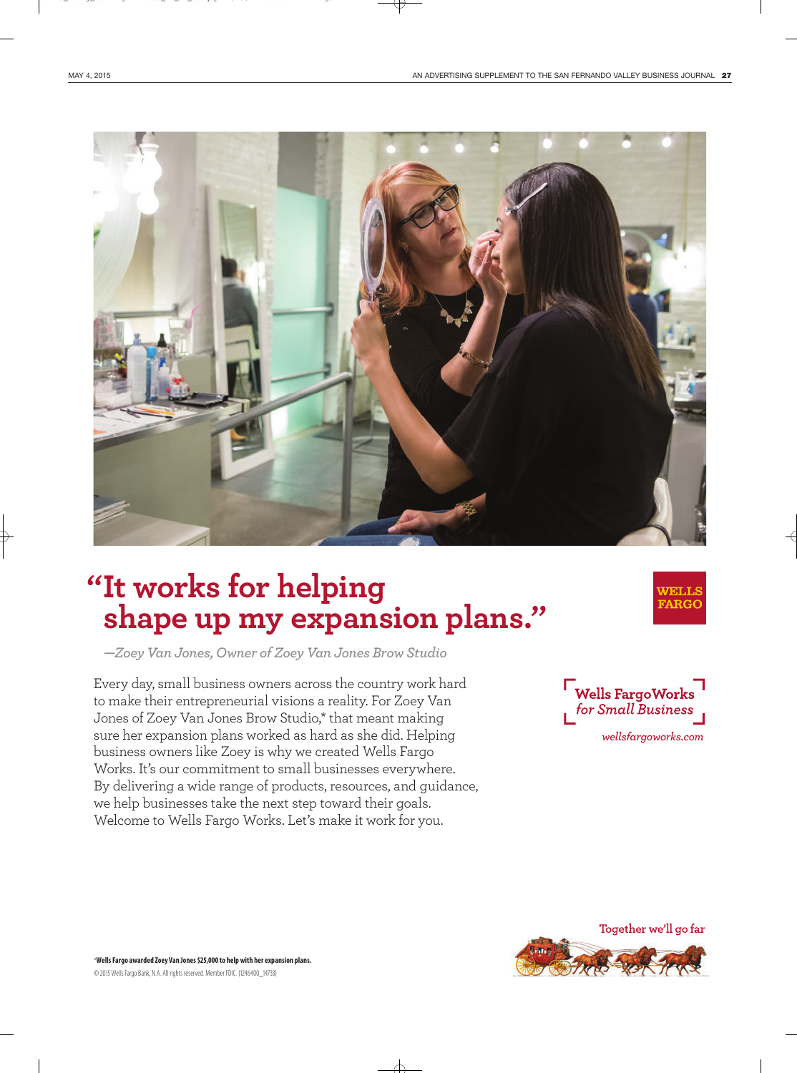

# **"It works for helping**

*—Zoey Van Jones, Owner of Zoey Van Jones Brow Studio* **shape up my expansion plans."**

Every day, small business owners across the country work hard to make their entrepreneurial visions a reality. For Zoey Van Jones of Zoey Van Jones Brow Studio,\* that meant making sure her expansion plans worked as hard as she did. Helping business owners like Zoey is why we created Wells Fargo Works. It's our commitment to small businesses everywhere. By delivering a wide range of products, resources, and guidance, we help businesses take the next step toward their goals. Welcome to Wells Fargo Works. Let's make it work for you.



WELLS **FARGC** 



\***Wells Fargo awarded Zoey Van Jones \$25,000 to help with her expansion plans.** © 2015 Wells Fargo Bank, N.A. All rights reserved. Member FDIC. (1246400\_14733)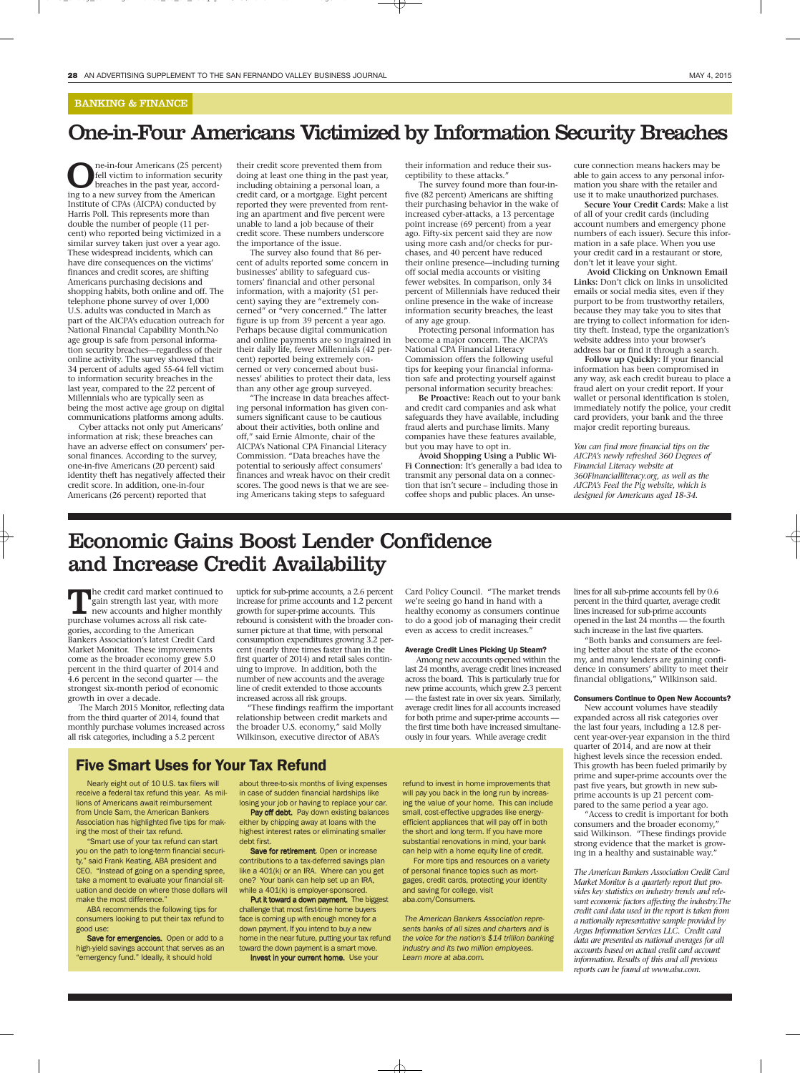#### BANKING & FINANCE

## One-in-Four Americans Victimized by Information Security Breaches

**C** ne-in-four Americans (25 percent)<br>fell victim to information security<br>breaches in the past year, accord-<br>ing to a new survey from the American fell victim to information security breaches in the past year, according to a new survey from the American Institute of CPAs (AICPA) conducted by Harris Poll. This represents more than double the number of people (11 percent) who reported being victimized in a similar survey taken just over a year ago. These widespread incidents, which can have dire consequences on the victims' finances and credit scores, are shifting Americans purchasing decisions and shopping habits, both online and off. The telephone phone survey of over 1,000 U.S. adults was conducted in March as part of the AICPA's education outreach for National Financial Capability Month.No age group is safe from personal information security breaches—regardless of their online activity. The survey showed that 34 percent of adults aged 55-64 fell victim to information security breaches in the last year, compared to the 22 percent of Millennials who are typically seen as being the most active age group on digital communications platforms among adults.

Cyber attacks not only put Americans' information at risk; these breaches can have an adverse effect on consumers' personal finances. According to the survey, one-in-five Americans (20 percent) said identity theft has negatively affected their credit score. In addition, one-in-four Americans (26 percent) reported that

their credit score prevented them from doing at least one thing in the past year, including obtaining a personal loan, a credit card, or a mortgage. Eight percent reported they were prevented from renting an apartment and five percent were unable to land a job because of their credit score. These numbers underscore the importance of the issue.

The survey also found that 86 percent of adults reported some concern in businesses' ability to safeguard customers' financial and other personal information, with a majority (51 percent) saying they are "extremely concerned" or "very concerned." The latter figure is up from 39 percent a year ago. Perhaps because digital communication and online payments are so ingrained in their daily life, fewer Millennials (42 percent) reported being extremely concerned or very concerned about businesses' abilities to protect their data, less than any other age group surveyed.

"The increase in data breaches affecting personal information has given consumers significant cause to be cautious about their activities, both online and off," said Ernie Almonte, chair of the AICPA's National CPA Financial Literacy Commission. "Data breaches have the potential to seriously affect consumers' finances and wreak havoc on their credit scores. The good news is that we are seeing Americans taking steps to safeguard

their information and reduce their susceptibility to these attacks."

The survey found more than four-infive (82 percent) Americans are shifting their purchasing behavior in the wake of increased cyber-attacks, a 13 percentage point increase (69 percent) from a year ago. Fifty-six percent said they are now using more cash and/or checks for purchases, and 40 percent have reduced their online presence—including turning off social media accounts or visiting fewer websites. In comparison, only 34 percent of Millennials have reduced their online presence in the wake of increase information security breaches, the least of any age group.

Protecting personal information has become a major concern. The AICPA's National CPA Financial Literacy Commission offers the following useful tips for keeping your financial information safe and protecting yourself against personal information security breaches:

**Be Proactive:** Reach out to your bank and credit card companies and ask what safeguards they have available, including fraud alerts and purchase limits. Many companies have these features available, but you may have to opt in.

**Avoid Shopping Using a Public Wi-Fi Connection:** It's generally a bad idea to transmit any personal data on a connection that isn't secure – including those in coffee shops and public places. An unsecure connection means hackers may be able to gain access to any personal information you share with the retailer and use it to make unauthorized purchases.

**Secure Your Credit Cards:** Make a list of all of your credit cards (including account numbers and emergency phone numbers of each issuer). Secure this information in a safe place. When you use your credit card in a restaurant or store, don't let it leave your sight.

**Avoid Clicking on Unknown Email Links:** Don't click on links in unsolicited emails or social media sites, even if they purport to be from trustworthy retailers, because they may take you to sites that are trying to collect information for identity theft. Instead, type the organization's website address into your browser's address bar or find it through a search.

**Follow up Quickly:** If your financial information has been compromised in any way, ask each credit bureau to place a fraud alert on your credit report. If your wallet or personal identification is stolen, immediately notify the police, your credit card providers, your bank and the three major credit reporting bureaus.

*You can find more financial tips on the AICPA's newly refreshed 360 Degrees of Financial Literacy website at 360Financialliteracy.org, as well as the AICPA's Feed the Pig website, which is designed for Americans aged 18-34.*

### Economic Gains Boost Lender Confidence and Increase Credit Availability

The credit card market continued to gain strength last year, with more new accounts and higher monthly purchase volumes across all risk categories, according to the American Bankers Association's latest Credit Card Market Monitor. These improvements come as the broader economy grew 5.0 percent in the third quarter of 2014 and 4.6 percent in the second quarter — the strongest six-month period of economic growth in over a decade.

The March 2015 Monitor, reflecting data from the third quarter of 2014, found that monthly purchase volumes increased across all risk categories, including a 5.2 percent

uptick for sub-prime accounts, a 2.6 percent increase for prime accounts and 1.2 percent growth for super-prime accounts. This rebound is consistent with the broader consumer picture at that time, with personal consumption expenditures growing 3.2 percent (nearly three times faster than in the first quarter of 2014) and retail sales continuing to improve. In addition, both the number of new accounts and the average line of credit extended to those accounts increased across all risk groups.

"These findings reaffirm the important relationship between credit markets and the broader U.S. economy," said Molly Wilkinson, executive director of ABA's

Card Policy Council. "The market trends we're seeing go hand in hand with a healthy economy as consumers continue to do a good job of managing their credit even as access to credit increases."

#### Average Credit Lines Picking Up Steam?

Among new accounts opened within the last 24 months, average credit lines increased across the board. This is particularly true for new prime accounts, which grew 2.3 percent — the fastest rate in over six years. Similarly, average credit lines for all accounts increased for both prime and super-prime accounts the first time both have increased simultaneously in four years. While average credit

#### Five Smart Uses for Your Tax Refund

Nearly eight out of 10 U.S. tax filers will receive a federal tax refund this year. As millions of Americans await reimbursement from Uncle Sam, the American Bankers Association has highlighted five tips for making the most of their tax refund.

"Smart use of your tax refund can start you on the path to long-term financial security," said Frank Keating, ABA president and CEO. "Instead of going on a spending spree, take a moment to evaluate your financial situation and decide on where those dollars will make the most difference."

ABA recommends the following tips for consumers looking to put their tax refund to good use:

Save for emergencies. Open or add to a high-yield savings account that serves as an "emergency fund." Ideally, it should hold

about three-to-six months of living expenses in case of sudden financial hardships like losing your job or having to replace your car.

Pay off debt. Pay down existing balances either by chipping away at loans with the highest interest rates or eliminating smaller debt first. Save for retirement. Open or increase

contributions to a tax-deferred savings plan like a 401(k) or an IRA. Where can you get one? Your bank can help set up an IRA, while a  $401(k)$  is employer-sponsored.

Put it toward a down payment. The biggest challenge that most first-time home buyers face is coming up with enough money for a down payment. If you intend to buy a new home in the near future, putting your tax refund toward the down payment is a smart move. Invest in your current home. Use your

refund to invest in home improvements that will pay you back in the long run by increasing the value of your home. This can include small, cost-effective upgrades like energyefficient appliances that will pay off in both the short and long term. If you have more substantial renovations in mind, your bank can help with a home equity line of credit.

For more tips and resources on a variety of personal finance topics such as mortgages, credit cards, protecting your identity and saving for college, visit aba.com/Consumers.

The American Bankers Association represents banks of all sizes and charters and is the voice for the nation's \$14 trillion banking industry and its two million employees. Learn more at aba.com.

lines for all sub-prime accounts fell by 0.6 percent in the third quarter, average credit lines increased for sub-prime accounts opened in the last 24 months — the fourth such increase in the last five quarters.

"Both banks and consumers are feeling better about the state of the economy, and many lenders are gaining confidence in consumers' ability to meet their financial obligations," Wilkinson said.

#### Consumers Continue to Open New Accounts?

New account volumes have steadily expanded across all risk categories over the last four years, including a 12.8 percent year-over-year expansion in the third quarter of 2014, and are now at their highest levels since the recession ended. This growth has been fueled primarily by prime and super-prime accounts over the past five years, but growth in new subprime accounts is up 21 percent compared to the same period a year ago.

"Access to credit is important for both consumers and the broader economy," said Wilkinson. "These findings provide strong evidence that the market is growing in a healthy and sustainable way."

*The American Bankers Association Credit Card Market Monitor is a quarterly report that provides key statistics on industry trends and relevant economic factors affecting the industry.The credit card data used in the report is taken from a nationally representative sample provided by Argus Information Services LLC. Credit card data are presented as national averages for all accounts based on actual credit card account information. Results of this and all previous reports can be found at www.aba.com.*